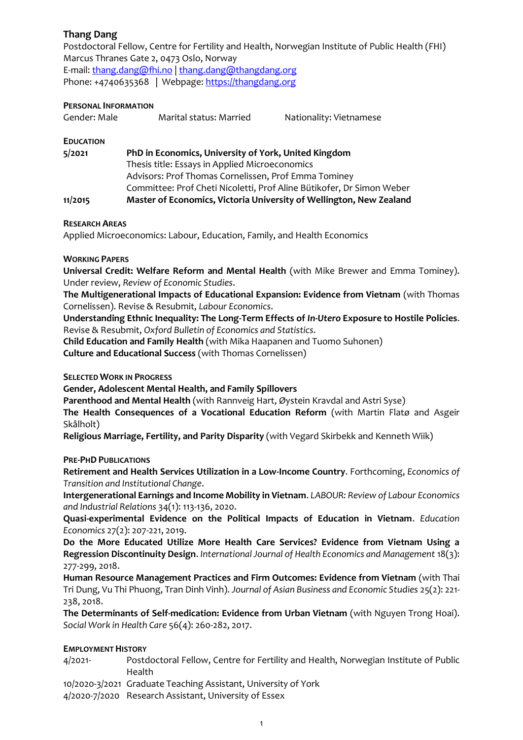# **Thang Dang**

Postdoctoral Fellow, Centre for Fertility and Health, Norwegian Institute of Public Health (FHI) Marcus Thranes Gate 2, 0473 Oslo, Norway E-mail: [thang.dang@fhi.no](mailto:thang.dang@fhi.no) | [thang.dang@thangdang.org](mailto:thang.dang@thangdang.org) Phone: +4740635368 | Webpage: [https://thangdang.org](https://thangdang.org/)

### **PERSONAL INFORMATION**

| Gender: Male | Marital status: Married | Nationality: Vietnamese |
|--------------|-------------------------|-------------------------|
|              |                         |                         |

**EDUCATION**

| 5/2021  | PhD in Economics, University of York, United Kingdom                  |  |
|---------|-----------------------------------------------------------------------|--|
|         | Thesis title: Essays in Applied Microeconomics                        |  |
|         | Advisors: Prof Thomas Cornelissen, Prof Emma Tominey                  |  |
|         | Committee: Prof Cheti Nicoletti, Prof Aline Bütikofer, Dr Simon Weber |  |
| 11/2015 | Master of Economics, Victoria University of Wellington, New Zealand   |  |

#### **RESEARCH AREAS**

Applied Microeconomics: Labour, Education, Family, and Health Economics

#### **WORKING PAPERS**

**Universal Credit: Welfare Reform and Mental Health** (with Mike Brewer and Emma Tominey). Under review, *Review of Economic Studies*.

**The Multigenerational Impacts of Educational Expansion: Evidence from Vietnam** (with Thomas Cornelissen). Revise & Resubmit, *Labour Economics*.

**Understanding Ethnic Inequality: The Long-Term Effects of** *In-Utero* **Exposure to Hostile Policies**. Revise & Resubmit, *Oxford Bulletin of Economics and Statistics*.

**Child Education and Family Health** (with Mika Haapanen and Tuomo Suhonen) **Culture and Educational Success** (with Thomas Cornelissen)

#### **SELECTED WORK IN PROGRESS**

**Gender, Adolescent Mental Health, and Family Spillovers**

**Parenthood and Mental Health** (with Rannveig Hart, Øystein Kravdal and Astri Syse)

**The Health Consequences of a Vocational Education Reform** (with Martin Flatø and Asgeir Skålholt)

**Religious Marriage, Fertility, and Parity Disparity** (with Vegard Skirbekk and Kenneth Wiik)

**PRE-PHD PUBLICATIONS**

**Retirement and Health Services Utilization in a Low-Income Country**. Forthcoming, *Economics of Transition and Institutional Change*.

**Intergenerational Earnings and Income Mobility in Vietnam**. *LABOUR: Review of Labour Economics and Industrial Relations* 34(1): 113-136, 2020.

**Quasi-experimental Evidence on the Political Impacts of Education in Vietnam**. *Education Economics* 27(2): 207-221, 2019.

**Do the More Educated Utilize More Health Care Services? Evidence from Vietnam Using a Regression Discontinuity Design**. *International Journal of Health Economics and Management* 18(3): 277-299, 2018.

**Human Resource Management Practices and Firm Outcomes: Evidence from Vietnam** (with Thai Tri Dung, Vu Thi Phuong, Tran Dinh Vinh). *Journal of Asian Business and Economic Studies* 25(2): 221- 238, 2018.

**The Determinants of Self-medication: Evidence from Urban Vietnam** (with Nguyen Trong Hoai). *Social Work in Health Care* 56(4): 260-282, 2017.

#### **EMPLOYMENT HISTORY**

4/2021- Postdoctoral Fellow, Centre for Fertility and Health, Norwegian Institute of Public Health

10/2020-3/2021 Graduate Teaching Assistant, University of York

4/2020-7/2020 Research Assistant, University of Essex